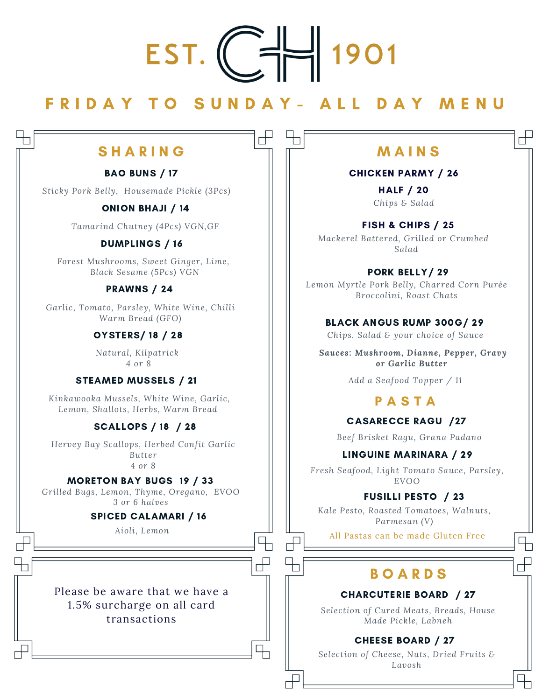# EST.

# F R I D A Y T O S U N D A Y - A L L D A Y M E N U

 $\overline{\mathbb{R}}$ 

 $\frac{1}{\sqrt{2}}$ 

 $\overline{\mathbb{F}}$ 

# $S$  H A R I N G  $\qquad \qquad \square \qquad \square$  M A I N S

# BAO BUNS / 17

*Sticky Pork Belly, Housemade Pickle (3Pcs)*

# ONION BHAJI / 14

*Tamarind Chutney (4Pcs) VGN,GF*

# DUMPLINGS / 16

*Forest Mushrooms, Sweet Ginger, Lime, Black Sesame (5Pcs) VGN*

## PRAWNS / 24

*Garlic, Tomato, Parsley, White Wine, Chilli Warm Bread (GFO)*

# OYSTERS/ 18 / 28

*Natural, Kilpatrick 4 or 8*

# STEAMED MUSSELS / 21

*Kinkawooka Mussels, White Wine, Garlic, Lemon, Shallots, Herbs, Warm Bread*

# SCALLOPS / 18 / 28

*Hervey Bay Scallops, Herbed Confit Garlic Butter 4 or 8*

# MORETON BAY BUGS 19 / 33

*Grilled Bugs, Lemon, Thyme, Oregano, EVOO 3 or 6 halves*

## SPICED CALAMARI / 16

*Aioli, Lemon*

Please be aware that we have a 1.5% surcharge on all card transactions

П

 $\begin{array}{c} \end{array}$ 

## CHICKEN PARMY / 26

*Chips & Salad* HALF / 20

FISH & CHIPS / 25 *Mackerel Battered, Grilled or Crumbed Salad*

PORK BELLY/ 29

*Lemon Myrtle Pork Belly, Charred Corn Purée Broccolini, Roast Chats*

BLACK ANGUS RUMP 300G/ 29

*Chips, Salad & your choice of Sauce*

*Sauces: Mushroom, Dianne, Pepper, Gravy or Garlic Butter*

*Add a Seafood Topper / 11*

# P A S T A

## CASARECCE RAGU /27

*Beef Brisket Ragu, Grana Padano*

# LINGUINE MARINARA / 29

*Fresh Seafood, Light Tomato Sauce, Parsley, EVOO*

# FUSILLI PESTO / 23

*Kale Pesto, Roasted Tomatoes, Walnuts, Parmesan (V)*

All Pastas can be made Gluten Free

# **BOARDS**

## CHARCUTERIE BOARD / 27

*Selection of Cured Meats, Breads, House Made Pickle, Labneh*

# CHEESE BOARD / 27

*Selection of Cheese, Nuts, Dried Fruits & Lavosh*